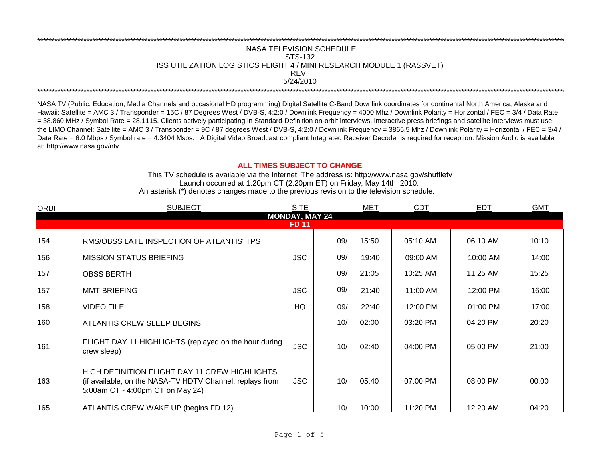## REV I \*\*\*\*\*\*\*\*\*\*\*\*\*\*\*\*\*\*\*\*\*\*\*\*\*\*\*\*\*\*\*\*\*\*\*\*\*\*\*\*\*\*\*\*\*\*\*\*\*\*\*\*\*\*\*\*\*\*\*\*\*\*\*\*\*\*\*\*\*\*\*\*\*\*\*\*\*\*\*\*\*\*\*\*\*\*\*\*\*\*\*\*\*\*\*\*\*\*\*\*\*\*\*\*\*\*\*\*\*\*\*\*\*\*\*\*\*\*\*\*\*\*\*\*\*\*\*\*\*\*\*\*\*\*\*\*\*\*\*\*\*\*\*\*\*\*\*\*\*\*\*\*\*\*\*\*\*\*\*\*\*\*\*\*\*\*\*\*\*\*\*\*\*\*\*\*\*\*\*\*\*\*\*\*\* \*\*\*\*\*\*\*\*\*\*\*\*\*\*\*\*\*\*\*\*\*\*\*\*\*\*\*\*\*\*\*\*\*\*\*\*\*\*\*\*\*\*\*\*\*\*\*\*\*\*\*\*\*\*\*\*\*\*\*\*\*\*\*\*\*\*\*\*\*\*\*\*\*\*\*\*\*\*\*\*\*\*\*\*\*\*\*\*\*\*\*\*\*\*\*\*\*\*\*\*\*\*\*\*\*\*\*\*\*\*\*\*\*\*\*\*\*\*\*\*\*\*\*\*\*\*\*\*\*\*\*\*\*\*\*\*\*\*\*\*\*\*\*\*\*\*\*\*\*\*\*\*\*\*\*\*\*\*\*\*\*\*\*\*\*\*\*\*\*\*\*\*\*\*\*\*\*\*\*\*\*\*\*\*\* NASA TELEVISION SCHEDULE STS-132 ISS UTILIZATION LOGISTICS FLIGHT 4 / MINI RESEARCH MODULE 1 (RASSVET) 5/24/2010

NASA TV (Public, Education, Media Channels and occasional HD programming) Digital Satellite C-Band Downlink coordinates for continental North America, Alaska and Hawaii: Satellite = AMC 3 / Transponder = 15C / 87 Degrees West / DVB-S, 4:2:0 / Downlink Frequency = 4000 Mhz / Downlink Polarity = Horizontal / FEC = 3/4 / Data Rate = 38.860 MHz / Symbol Rate = 28.1115. Clients actively participating in Standard-Definition on-orbit interviews, interactive press briefings and satellite interviews must use the LIMO Channel: Satellite = AMC 3 / Transponder = 9C / 87 degrees West / DVB-S, 4:2:0 / Downlink Frequency = 3865.5 Mhz / Downlink Polarity = Horizontal / FEC = 3/4 / Data Rate = 6.0 Mbps / Symbol rate = 4.3404 Msps. A Digital Video Broadcast compliant Integrated Receiver Decoder is required for reception. Mission Audio is available at: http://www.nasa.gov/ntv.

## **ALL TIMES SUBJECT TO CHANGE**

Launch occurred at 1:20pm CT (2:20pm ET) on Friday, May 14th, 2010. An asterisk (\*) denotes changes made to the previous revision to the television schedule. This TV schedule is available via the Internet. The address is: http://www.nasa.gov/shuttletv

| <b>ORBIT</b>          | <b>SUBJECT</b>                                                                                                                                | <b>SITE</b> |     | <b>MET</b> | <b>CDT</b> | <b>EDT</b> | <b>GMT</b> |  |  |  |
|-----------------------|-----------------------------------------------------------------------------------------------------------------------------------------------|-------------|-----|------------|------------|------------|------------|--|--|--|
| <b>MONDAY, MAY 24</b> |                                                                                                                                               |             |     |            |            |            |            |  |  |  |
| FD 11                 |                                                                                                                                               |             |     |            |            |            |            |  |  |  |
| 154                   | RMS/OBSS LATE INSPECTION OF ATLANTIS' TPS                                                                                                     |             | 09/ | 15:50      | 05:10 AM   | 06:10 AM   | 10:10      |  |  |  |
| 156                   | <b>MISSION STATUS BRIEFING</b>                                                                                                                | <b>JSC</b>  | 09/ | 19:40      | 09:00 AM   | 10:00 AM   | 14:00      |  |  |  |
| 157                   | <b>OBSS BERTH</b>                                                                                                                             |             | 09/ | 21:05      | 10:25 AM   | 11:25 AM   | 15:25      |  |  |  |
| 157                   | <b>MMT BRIEFING</b>                                                                                                                           | <b>JSC</b>  | 09/ | 21:40      | 11:00 AM   | 12:00 PM   | 16:00      |  |  |  |
| 158                   | <b>VIDEO FILE</b>                                                                                                                             | <b>HQ</b>   | 09/ | 22:40      | 12:00 PM   | 01:00 PM   | 17:00      |  |  |  |
| 160                   | ATLANTIS CREW SLEEP BEGINS                                                                                                                    |             | 10/ | 02:00      | 03:20 PM   | 04:20 PM   | 20:20      |  |  |  |
| 161                   | FLIGHT DAY 11 HIGHLIGHTS (replayed on the hour during<br>crew sleep)                                                                          | <b>JSC</b>  | 10/ | 02:40      | 04:00 PM   | 05:00 PM   | 21:00      |  |  |  |
| 163                   | HIGH DEFINITION FLIGHT DAY 11 CREW HIGHLIGHTS<br>(if available; on the NASA-TV HDTV Channel; replays from<br>5:00am CT - 4:00pm CT on May 24) | JSC.        | 10/ | 05:40      | 07:00 PM   | 08:00 PM   | 00:00      |  |  |  |
| 165                   | ATLANTIS CREW WAKE UP (begins FD 12)                                                                                                          |             | 10/ | 10:00      | 11:20 PM   | 12:20 AM   | 04:20      |  |  |  |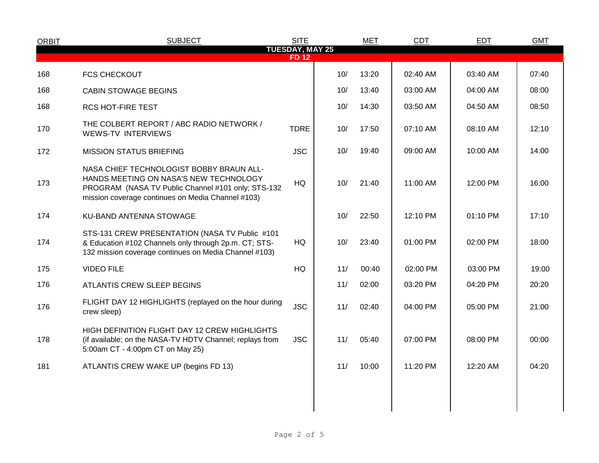| <b>ORBIT</b>                          | <b>SUBJECT</b>                                                                                                                                                                                | <b>SITE</b> |     | <b>MET</b> | <b>CDT</b> | <b>EDT</b> | <b>GMT</b> |  |  |
|---------------------------------------|-----------------------------------------------------------------------------------------------------------------------------------------------------------------------------------------------|-------------|-----|------------|------------|------------|------------|--|--|
| <b>TUESDAY, MAY 25</b><br><b>FD12</b> |                                                                                                                                                                                               |             |     |            |            |            |            |  |  |
| 168                                   | <b>FCS CHECKOUT</b>                                                                                                                                                                           |             | 10/ | 13:20      | 02:40 AM   | 03:40 AM   | 07:40      |  |  |
| 168                                   | <b>CABIN STOWAGE BEGINS</b>                                                                                                                                                                   |             | 10/ | 13:40      | 03:00 AM   | 04:00 AM   | 08:00      |  |  |
| 168                                   | <b>RCS HOT-FIRE TEST</b>                                                                                                                                                                      |             | 10/ | 14:30      | 03:50 AM   | 04:50 AM   | 08:50      |  |  |
| 170                                   | THE COLBERT REPORT / ABC RADIO NETWORK /<br><b>WEWS-TV INTERVIEWS</b>                                                                                                                         | <b>TDRE</b> | 10/ | 17:50      | 07:10 AM   | 08:10 AM   | 12:10      |  |  |
| 172                                   | <b>MISSION STATUS BRIEFING</b>                                                                                                                                                                | <b>JSC</b>  | 10/ | 19:40      | 09:00 AM   | 10:00 AM   | 14:00      |  |  |
| 173                                   | NASA CHIEF TECHNOLOGIST BOBBY BRAUN ALL-<br>HANDS MEETING ON NASA'S NEW TECHNOLOGY<br>PROGRAM (NASA TV Public Channel #101 only; STS-132<br>mission coverage continues on Media Channel #103) | HQ          | 10/ | 21:40      | 11:00 AM   | 12:00 PM   | 16:00      |  |  |
| 174                                   | KU-BAND ANTENNA STOWAGE                                                                                                                                                                       |             | 10/ | 22:50      | 12:10 PM   | 01:10 PM   | 17:10      |  |  |
| 174                                   | STS-131 CREW PRESENTATION (NASA TV Public #101<br>& Education #102 Channels only through 2p.m. CT; STS-<br>132 mission coverage continues on Media Channel #103)                              | HQ          | 10/ | 23:40      | 01:00 PM   | 02:00 PM   | 18:00      |  |  |
| 175                                   | <b>VIDEO FILE</b>                                                                                                                                                                             | HQ          | 11/ | 00:40      | 02:00 PM   | 03:00 PM   | 19:00      |  |  |
| 176                                   | <b>ATLANTIS CREW SLEEP BEGINS</b>                                                                                                                                                             |             | 11/ | 02:00      | 03:20 PM   | 04:20 PM   | 20:20      |  |  |
| 176                                   | FLIGHT DAY 12 HIGHLIGHTS (replayed on the hour during<br>crew sleep)                                                                                                                          | <b>JSC</b>  | 11/ | 02:40      | 04:00 PM   | 05:00 PM   | 21:00      |  |  |
| 178                                   | HIGH DEFINITION FLIGHT DAY 12 CREW HIGHLIGHTS<br>(if available; on the NASA-TV HDTV Channel; replays from<br>5:00am CT - 4:00pm CT on May 25)                                                 | <b>JSC</b>  | 11/ | 05:40      | 07:00 PM   | 08:00 PM   | 00:00      |  |  |
| 181                                   | ATLANTIS CREW WAKE UP (begins FD 13)                                                                                                                                                          |             | 11/ | 10:00      | 11:20 PM   | 12:20 AM   | 04:20      |  |  |
|                                       |                                                                                                                                                                                               |             |     |            |            |            |            |  |  |
|                                       |                                                                                                                                                                                               |             |     |            |            |            |            |  |  |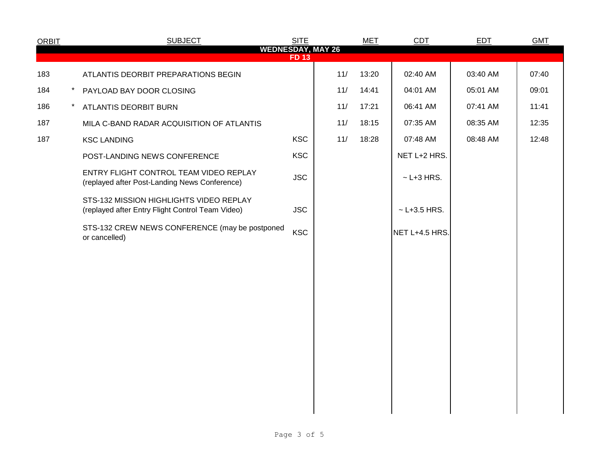| <b>ORBIT</b>                            |          | <b>SUBJECT</b>                                                                              | <b>SITE</b> |     | <b>MET</b> | CDT              | <b>EDT</b> | <b>GMT</b> |  |  |
|-----------------------------------------|----------|---------------------------------------------------------------------------------------------|-------------|-----|------------|------------------|------------|------------|--|--|
| <b>WEDNESDAY, MAY 26</b><br><b>FD13</b> |          |                                                                                             |             |     |            |                  |            |            |  |  |
| 183                                     |          | ATLANTIS DEORBIT PREPARATIONS BEGIN                                                         |             | 11/ | 13:20      | 02:40 AM         | 03:40 AM   | 07:40      |  |  |
| 184                                     | $^\star$ | PAYLOAD BAY DOOR CLOSING                                                                    |             | 11/ | 14:41      | 04:01 AM         | 05:01 AM   | 09:01      |  |  |
| 186                                     | $^\star$ | ATLANTIS DEORBIT BURN                                                                       |             | 11/ | 17:21      | 06:41 AM         | 07:41 AM   | 11:41      |  |  |
| 187                                     |          | MILA C-BAND RADAR ACQUISITION OF ATLANTIS                                                   |             | 11/ | 18:15      | 07:35 AM         | 08:35 AM   | 12:35      |  |  |
| 187                                     |          | <b>KSC LANDING</b>                                                                          | <b>KSC</b>  | 11/ | 18:28      | 07:48 AM         | 08:48 AM   | 12:48      |  |  |
|                                         |          | POST-LANDING NEWS CONFERENCE                                                                | <b>KSC</b>  |     |            | NET L+2 HRS.     |            |            |  |  |
|                                         |          | ENTRY FLIGHT CONTROL TEAM VIDEO REPLAY<br>(replayed after Post-Landing News Conference)     | <b>JSC</b>  |     |            | $\sim$ L+3 HRS.  |            |            |  |  |
|                                         |          | STS-132 MISSION HIGHLIGHTS VIDEO REPLAY<br>(replayed after Entry Flight Control Team Video) | <b>JSC</b>  |     |            | $~$ - L+3.5 HRS. |            |            |  |  |
|                                         |          | STS-132 CREW NEWS CONFERENCE (may be postponed<br>or cancelled)                             | <b>KSC</b>  |     |            | NET L+4.5 HRS.   |            |            |  |  |
|                                         |          |                                                                                             |             |     |            |                  |            |            |  |  |
|                                         |          |                                                                                             |             |     |            |                  |            |            |  |  |
|                                         |          |                                                                                             |             |     |            |                  |            |            |  |  |
|                                         |          |                                                                                             |             |     |            |                  |            |            |  |  |
|                                         |          |                                                                                             |             |     |            |                  |            |            |  |  |
|                                         |          |                                                                                             |             |     |            |                  |            |            |  |  |
|                                         |          |                                                                                             |             |     |            |                  |            |            |  |  |
|                                         |          |                                                                                             |             |     |            |                  |            |            |  |  |
|                                         |          |                                                                                             |             |     |            |                  |            |            |  |  |
|                                         |          |                                                                                             |             |     |            |                  |            |            |  |  |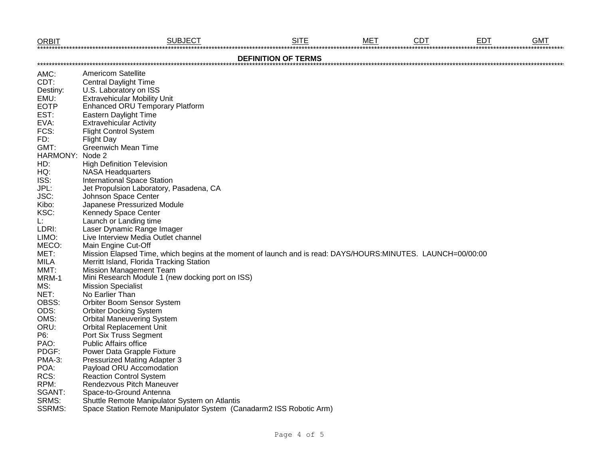| <b>ORBIT</b>               | <b>SUBJECT</b>                                                                                              | <b>SITE</b> | <b>MET</b> | <b>CDT</b> | <b>EDT</b> | <b>GMT</b> |  |  |
|----------------------------|-------------------------------------------------------------------------------------------------------------|-------------|------------|------------|------------|------------|--|--|
| <b>DEFINITION OF TERMS</b> |                                                                                                             |             |            |            |            |            |  |  |
| AMC:                       | <b>Americom Satellite</b>                                                                                   |             |            |            |            |            |  |  |
| CDT:                       | <b>Central Daylight Time</b>                                                                                |             |            |            |            |            |  |  |
| Destiny:                   | U.S. Laboratory on ISS                                                                                      |             |            |            |            |            |  |  |
| EMU:                       | <b>Extravehicular Mobility Unit</b>                                                                         |             |            |            |            |            |  |  |
| <b>EOTP</b>                | <b>Enhanced ORU Temporary Platform</b>                                                                      |             |            |            |            |            |  |  |
| EST:                       | Eastern Daylight Time                                                                                       |             |            |            |            |            |  |  |
| EVA:                       | <b>Extravehicular Activity</b>                                                                              |             |            |            |            |            |  |  |
| FCS:                       | <b>Flight Control System</b>                                                                                |             |            |            |            |            |  |  |
| FD:                        | <b>Flight Day</b>                                                                                           |             |            |            |            |            |  |  |
| GMT:                       | <b>Greenwich Mean Time</b>                                                                                  |             |            |            |            |            |  |  |
| HARMONY:                   | Node 2                                                                                                      |             |            |            |            |            |  |  |
| HD:                        | <b>High Definition Television</b>                                                                           |             |            |            |            |            |  |  |
| HQ:                        | <b>NASA Headquarters</b>                                                                                    |             |            |            |            |            |  |  |
| ISS:                       | <b>International Space Station</b>                                                                          |             |            |            |            |            |  |  |
| JPL:                       | Jet Propulsion Laboratory, Pasadena, CA                                                                     |             |            |            |            |            |  |  |
| JSC:                       | Johnson Space Center                                                                                        |             |            |            |            |            |  |  |
| Kibo:                      | Japanese Pressurized Module                                                                                 |             |            |            |            |            |  |  |
| KSC:                       | Kennedy Space Center                                                                                        |             |            |            |            |            |  |  |
| L.                         | Launch or Landing time                                                                                      |             |            |            |            |            |  |  |
| LDRI:                      | Laser Dynamic Range Imager                                                                                  |             |            |            |            |            |  |  |
| LIMO:                      | Live Interview Media Outlet channel                                                                         |             |            |            |            |            |  |  |
| MECO:                      | Main Engine Cut-Off                                                                                         |             |            |            |            |            |  |  |
| MET:                       | Mission Elapsed Time, which begins at the moment of launch and is read: DAYS/HOURS:MINUTES. LAUNCH=00/00:00 |             |            |            |            |            |  |  |
| <b>MILA</b>                | Merritt Island, Florida Tracking Station                                                                    |             |            |            |            |            |  |  |
| MMT:                       | <b>Mission Management Team</b>                                                                              |             |            |            |            |            |  |  |
| MRM-1                      | Mini Research Module 1 (new docking port on ISS)                                                            |             |            |            |            |            |  |  |
| MS:                        | <b>Mission Specialist</b>                                                                                   |             |            |            |            |            |  |  |
| NET:                       | No Earlier Than                                                                                             |             |            |            |            |            |  |  |
| OBSS:                      | Orbiter Boom Sensor System                                                                                  |             |            |            |            |            |  |  |
| ODS:                       | <b>Orbiter Docking System</b>                                                                               |             |            |            |            |            |  |  |
| OMS:                       | <b>Orbital Maneuvering System</b>                                                                           |             |            |            |            |            |  |  |
| ORU:                       | <b>Orbital Replacement Unit</b>                                                                             |             |            |            |            |            |  |  |
| P6:                        | Port Six Truss Segment                                                                                      |             |            |            |            |            |  |  |
| PAO:                       | <b>Public Affairs office</b>                                                                                |             |            |            |            |            |  |  |
| PDGF:                      | Power Data Grapple Fixture                                                                                  |             |            |            |            |            |  |  |
| <b>PMA-3:</b>              | Pressurized Mating Adapter 3                                                                                |             |            |            |            |            |  |  |
| POA:                       | Payload ORU Accomodation                                                                                    |             |            |            |            |            |  |  |
| RCS:                       | <b>Reaction Control System</b>                                                                              |             |            |            |            |            |  |  |
| RPM:                       | Rendezvous Pitch Maneuver                                                                                   |             |            |            |            |            |  |  |
| SGANT:                     | Space-to-Ground Antenna                                                                                     |             |            |            |            |            |  |  |
| SRMS:                      | Shuttle Remote Manipulator System on Atlantis                                                               |             |            |            |            |            |  |  |
| <b>SSRMS:</b>              | Space Station Remote Manipulator System (Canadarm2 ISS Robotic Arm)                                         |             |            |            |            |            |  |  |